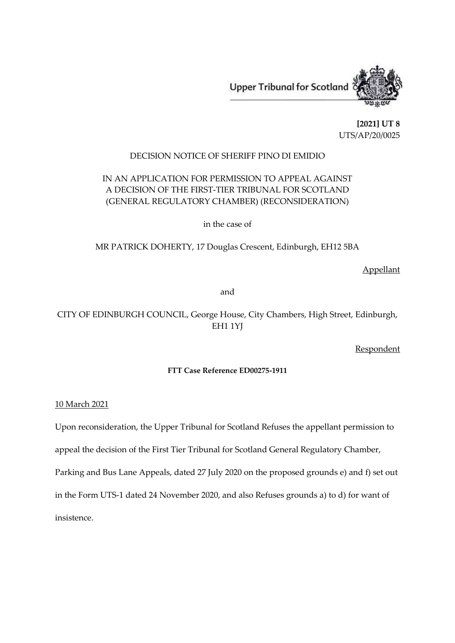

**[2021] UT 8** UTS/AP/20/0025

## DECISION NOTICE OF SHERIFF PINO DI EMIDIO

# IN AN APPLICATION FOR PERMISSION TO APPEAL AGAINST A DECISION OF THE FIRST-TIER TRIBUNAL FOR SCOTLAND (GENERAL REGULATORY CHAMBER) (RECONSIDERATION)

in the case of

MR PATRICK DOHERTY, 17 Douglas Crescent, Edinburgh, EH12 5BA

Appellant

and

# CITY OF EDINBURGH COUNCIL, George House, City Chambers, High Street, Edinburgh, EH1 1YJ

Respondent

## **FTT Case Reference ED00275-1911**

10 March 2021

Upon reconsideration, the Upper Tribunal for Scotland Refuses the appellant permission to appeal the decision of the First Tier Tribunal for Scotland General Regulatory Chamber, Parking and Bus Lane Appeals, dated 27 July 2020 on the proposed grounds e) and f) set out in the Form UTS-1 dated 24 November 2020, and also Refuses grounds a) to d) for want of insistence.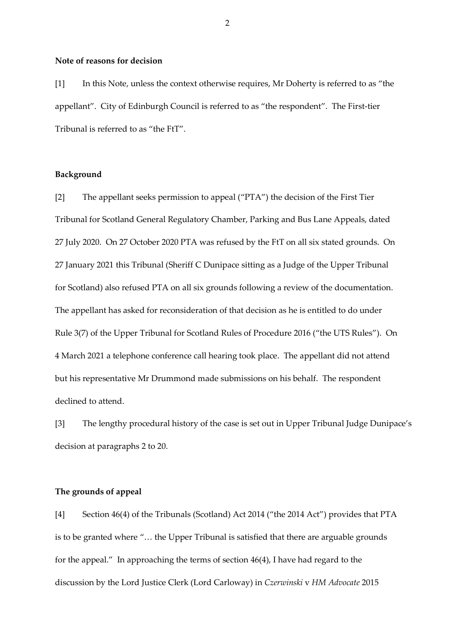#### **Note of reasons for decision**

[1] In this Note, unless the context otherwise requires, Mr Doherty is referred to as "the appellant". City of Edinburgh Council is referred to as "the respondent". The First-tier Tribunal is referred to as "the FtT".

### **Background**

[2] The appellant seeks permission to appeal ("PTA") the decision of the First Tier Tribunal for Scotland General Regulatory Chamber, Parking and Bus Lane Appeals, dated 27 July 2020. On 27 October 2020 PTA was refused by the FtT on all six stated grounds. On 27 January 2021 this Tribunal (Sheriff C Dunipace sitting as a Judge of the Upper Tribunal for Scotland) also refused PTA on all six grounds following a review of the documentation. The appellant has asked for reconsideration of that decision as he is entitled to do under Rule 3(7) of the Upper Tribunal for Scotland Rules of Procedure 2016 ("the UTS Rules"). On 4 March 2021 a telephone conference call hearing took place. The appellant did not attend but his representative Mr Drummond made submissions on his behalf. The respondent declined to attend.

[3] The lengthy procedural history of the case is set out in Upper Tribunal Judge Dunipace's decision at paragraphs 2 to 20.

## **The grounds of appeal**

[4] Section 46(4) of the Tribunals (Scotland) Act 2014 ("the 2014 Act") provides that PTA is to be granted where "… the Upper Tribunal is satisfied that there are arguable grounds for the appeal." In approaching the terms of section 46(4), I have had regard to the discussion by the Lord Justice Clerk (Lord Carloway) in *Czerwinski* v *HM Advocate* 2015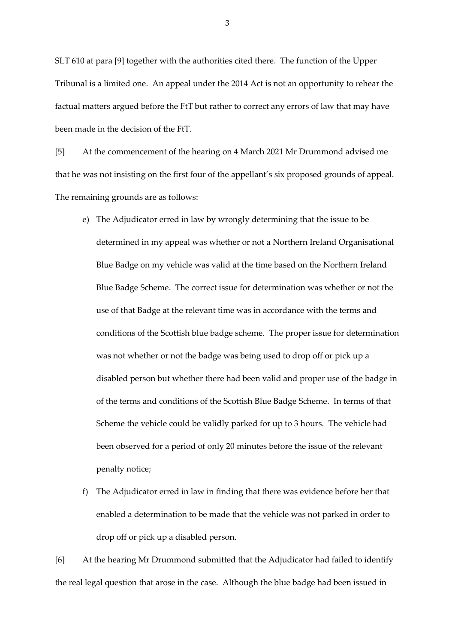SLT 610 at para [9] together with the authorities cited there. The function of the Upper Tribunal is a limited one. An appeal under the 2014 Act is not an opportunity to rehear the factual matters argued before the FtT but rather to correct any errors of law that may have been made in the decision of the FtT.

[5] At the commencement of the hearing on 4 March 2021 Mr Drummond advised me that he was not insisting on the first four of the appellant's six proposed grounds of appeal. The remaining grounds are as follows:

- e) The Adjudicator erred in law by wrongly determining that the issue to be determined in my appeal was whether or not a Northern Ireland Organisational Blue Badge on my vehicle was valid at the time based on the Northern Ireland Blue Badge Scheme. The correct issue for determination was whether or not the use of that Badge at the relevant time was in accordance with the terms and conditions of the Scottish blue badge scheme. The proper issue for determination was not whether or not the badge was being used to drop off or pick up a disabled person but whether there had been valid and proper use of the badge in of the terms and conditions of the Scottish Blue Badge Scheme. In terms of that Scheme the vehicle could be validly parked for up to 3 hours. The vehicle had been observed for a period of only 20 minutes before the issue of the relevant penalty notice;
- f) The Adjudicator erred in law in finding that there was evidence before her that enabled a determination to be made that the vehicle was not parked in order to drop off or pick up a disabled person.

[6] At the hearing Mr Drummond submitted that the Adjudicator had failed to identify the real legal question that arose in the case. Although the blue badge had been issued in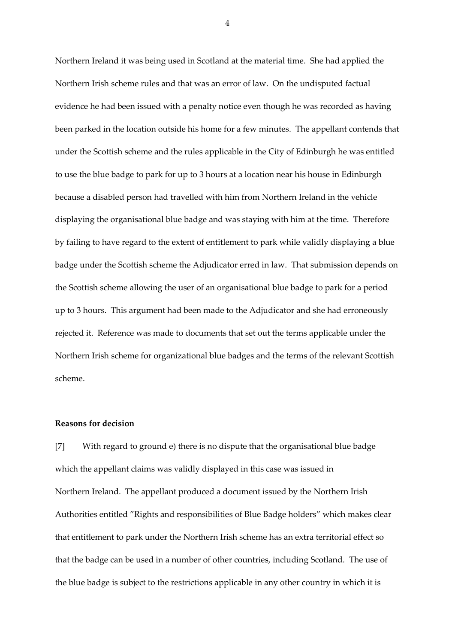Northern Ireland it was being used in Scotland at the material time. She had applied the Northern Irish scheme rules and that was an error of law. On the undisputed factual evidence he had been issued with a penalty notice even though he was recorded as having been parked in the location outside his home for a few minutes. The appellant contends that under the Scottish scheme and the rules applicable in the City of Edinburgh he was entitled to use the blue badge to park for up to 3 hours at a location near his house in Edinburgh because a disabled person had travelled with him from Northern Ireland in the vehicle displaying the organisational blue badge and was staying with him at the time. Therefore by failing to have regard to the extent of entitlement to park while validly displaying a blue badge under the Scottish scheme the Adjudicator erred in law. That submission depends on the Scottish scheme allowing the user of an organisational blue badge to park for a period up to 3 hours. This argument had been made to the Adjudicator and she had erroneously rejected it. Reference was made to documents that set out the terms applicable under the Northern Irish scheme for organizational blue badges and the terms of the relevant Scottish scheme.

#### **Reasons for decision**

[7] With regard to ground e) there is no dispute that the organisational blue badge which the appellant claims was validly displayed in this case was issued in Northern Ireland. The appellant produced a document issued by the Northern Irish Authorities entitled "Rights and responsibilities of Blue Badge holders" which makes clear that entitlement to park under the Northern Irish scheme has an extra territorial effect so that the badge can be used in a number of other countries, including Scotland. The use of the blue badge is subject to the restrictions applicable in any other country in which it is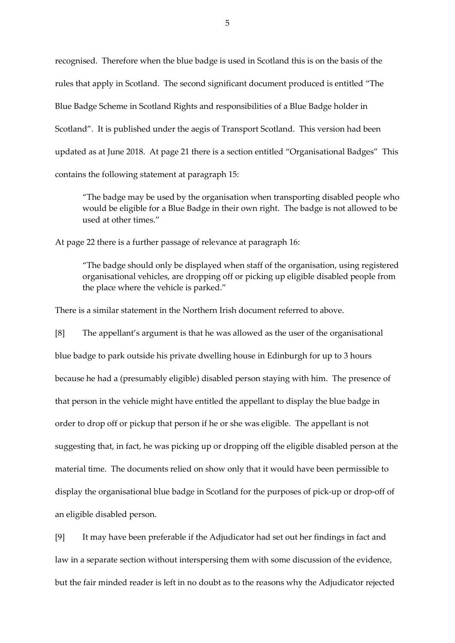recognised. Therefore when the blue badge is used in Scotland this is on the basis of the rules that apply in Scotland. The second significant document produced is entitled "The Blue Badge Scheme in Scotland Rights and responsibilities of a Blue Badge holder in Scotland". It is published under the aegis of Transport Scotland. This version had been updated as at June 2018. At page 21 there is a section entitled "Organisational Badges" This contains the following statement at paragraph 15:

"The badge may be used by the organisation when transporting disabled people who would be eligible for a Blue Badge in their own right. The badge is not allowed to be used at other times."

At page 22 there is a further passage of relevance at paragraph 16:

"The badge should only be displayed when staff of the organisation, using registered organisational vehicles, are dropping off or picking up eligible disabled people from the place where the vehicle is parked."

There is a similar statement in the Northern Irish document referred to above.

[8] The appellant's argument is that he was allowed as the user of the organisational blue badge to park outside his private dwelling house in Edinburgh for up to 3 hours because he had a (presumably eligible) disabled person staying with him. The presence of that person in the vehicle might have entitled the appellant to display the blue badge in order to drop off or pickup that person if he or she was eligible. The appellant is not suggesting that, in fact, he was picking up or dropping off the eligible disabled person at the material time. The documents relied on show only that it would have been permissible to display the organisational blue badge in Scotland for the purposes of pick-up or drop-off of an eligible disabled person.

[9] It may have been preferable if the Adjudicator had set out her findings in fact and law in a separate section without interspersing them with some discussion of the evidence, but the fair minded reader is left in no doubt as to the reasons why the Adjudicator rejected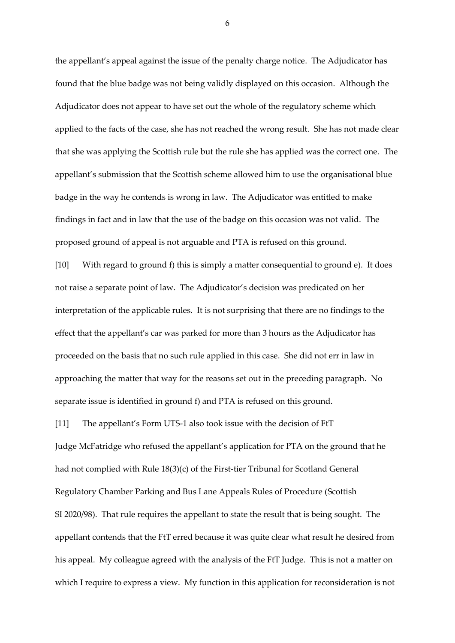the appellant's appeal against the issue of the penalty charge notice. The Adjudicator has found that the blue badge was not being validly displayed on this occasion. Although the Adjudicator does not appear to have set out the whole of the regulatory scheme which applied to the facts of the case, she has not reached the wrong result. She has not made clear that she was applying the Scottish rule but the rule she has applied was the correct one. The appellant's submission that the Scottish scheme allowed him to use the organisational blue badge in the way he contends is wrong in law. The Adjudicator was entitled to make findings in fact and in law that the use of the badge on this occasion was not valid. The proposed ground of appeal is not arguable and PTA is refused on this ground.

[10] With regard to ground f) this is simply a matter consequential to ground e). It does not raise a separate point of law. The Adjudicator's decision was predicated on her interpretation of the applicable rules. It is not surprising that there are no findings to the effect that the appellant's car was parked for more than 3 hours as the Adjudicator has proceeded on the basis that no such rule applied in this case. She did not err in law in approaching the matter that way for the reasons set out in the preceding paragraph. No separate issue is identified in ground f) and PTA is refused on this ground.

[11] The appellant's Form UTS-1 also took issue with the decision of FtT

Judge McFatridge who refused the appellant's application for PTA on the ground that he had not complied with Rule 18(3)(c) of the First-tier Tribunal for Scotland General Regulatory Chamber Parking and Bus Lane Appeals Rules of Procedure (Scottish SI 2020/98). That rule requires the appellant to state the result that is being sought. The appellant contends that the FtT erred because it was quite clear what result he desired from his appeal. My colleague agreed with the analysis of the FtT Judge. This is not a matter on which I require to express a view. My function in this application for reconsideration is not